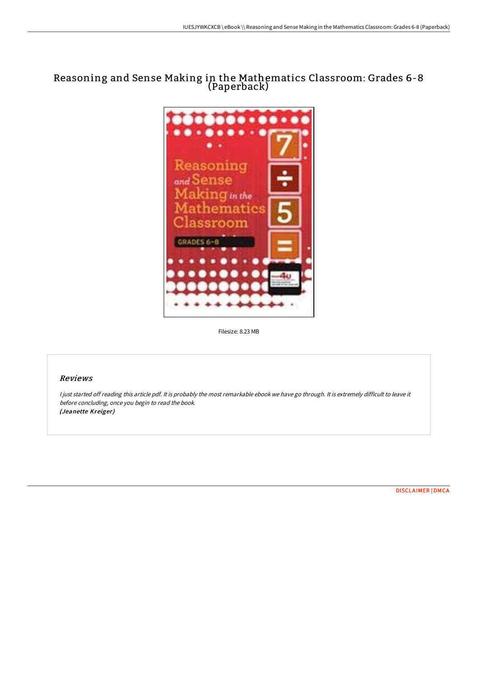# Reasoning and Sense Making in the Mathematics Classroom: Grades 6-8 (Paperback)



Filesize: 8.23 MB

### Reviews

I just started off reading this article pdf. It is probably the most remarkable ebook we have go through. It is extremely difficult to leave it before concluding, once you begin to read the book. (Jeanette Kreiger)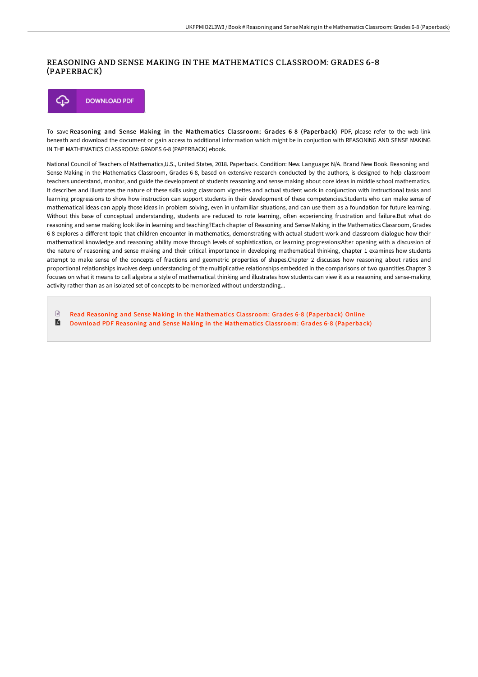## REASONING AND SENSE MAKING IN THE MATHEMATICS CLASSROOM: GRADES 6-8 (PAPERBACK)



To save Reasoning and Sense Making in the Mathematics Classroom: Grades 6-8 (Paperback) PDF, please refer to the web link beneath and download the document or gain access to additional information which might be in conjuction with REASONING AND SENSE MAKING IN THE MATHEMATICS CLASSROOM: GRADES 6-8 (PAPERBACK) ebook.

National Council of Teachers of Mathematics,U.S., United States, 2018. Paperback. Condition: New. Language: N/A. Brand New Book. Reasoning and Sense Making in the Mathematics Classroom, Grades 6-8, based on extensive research conducted by the authors, is designed to help classroom teachers understand, monitor, and guide the development of students reasoning and sense making about core ideas in middle school mathematics. It describes and illustrates the nature of these skills using classroom vignettes and actual student work in conjunction with instructional tasks and learning progressions to show how instruction can support students in their development of these competencies.Students who can make sense of mathematical ideas can apply those ideas in problem solving, even in unfamiliar situations, and can use them as a foundation for future learning. Without this base of conceptual understanding, students are reduced to rote learning, often experiencing frustration and failure.But what do reasoning and sense making look like in learning and teaching?Each chapter of Reasoning and Sense Making in the Mathematics Classroom, Grades 6-8 explores a different topic that children encounter in mathematics, demonstrating with actual student work and classroom dialogue how their mathematical knowledge and reasoning ability move through levels of sophistication, or learning progressions:After opening with a discussion of the nature of reasoning and sense making and their critical importance in developing mathematical thinking, chapter 1 examines how students attempt to make sense of the concepts of fractions and geometric properties of shapes.Chapter 2 discusses how reasoning about ratios and proportional relationships involves deep understanding of the multiplicative relationships embedded in the comparisons of two quantities.Chapter 3 focuses on what it means to call algebra a style of mathematical thinking and illustrates how students can view it as a reasoning and sense-making activity rather than as an isolated set of concepts to be memorized without understanding...

 $\mathbb{R}$ Read Reasoning and Sense Making in the [Mathematics](http://digilib.live/reasoning-and-sense-making-in-the-mathematics-cl-2.html) Classroom: Grades 6-8 (Paperback) Online A Download PDF Reasoning and Sense Making in the [Mathematics](http://digilib.live/reasoning-and-sense-making-in-the-mathematics-cl-2.html) Classroom: Grades 6-8 (Paperback)